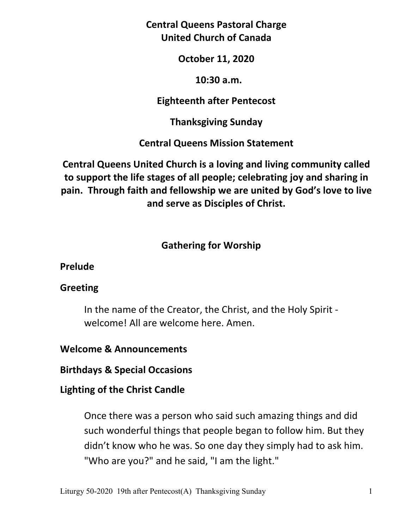**Central Queens Pastoral Charge United Church of Canada** 

**October 11, 2020** 

 **10:30 a.m.** 

**Eighteenth after Pentecost** 

**Thanksgiving Sunday** 

**Central Queens Mission Statement** 

**Central Queens United Church is a loving and living community called to support the life stages of all people; celebrating joy and sharing in pain. Through faith and fellowship we are united by God's love to live and serve as Disciples of Christ.**

# **Gathering for Worship**

**Prelude** 

### **Greeting**

In the name of the Creator, the Christ, and the Holy Spirit welcome! All are welcome here. Amen.

## **Welcome & Announcements**

**Birthdays & Special Occasions** 

## **Lighting of the Christ Candle**

Once there was a person who said such amazing things and did such wonderful things that people began to follow him. But they didn't know who he was. So one day they simply had to ask him. "Who are you?" and he said, "I am the light."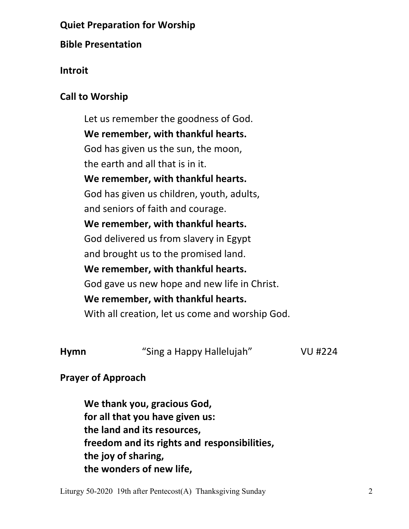## **Quiet Preparation for Worship**

### **Bible Presentation**

### **Introit**

### **Call to Worship**

 Let us remember the goodness of God. **We remember, with thankful hearts.**  God has given us the sun, the moon, the earth and all that is in it. **We remember, with thankful hearts.**  God has given us children, youth, adults, and seniors of faith and courage. **We remember, with thankful hearts.**  God delivered us from slavery in Egypt and brought us to the promised land. **We remember, with thankful hearts.**  God gave us new hope and new life in Christ. **We remember, with thankful hearts.**  With all creation, let us come and worship God.

**Hymn** "Sing a Happy Hallelujah"VU #224

## **Prayer of Approach**

 **We thank you, gracious God, for all that you have given us: the land and its resources, freedom and its rights and responsibilities, the joy of sharing, the wonders of new life,** 

Liturgy 50-2020 19th after Pentecost(A) Thanksgiving Sunday 2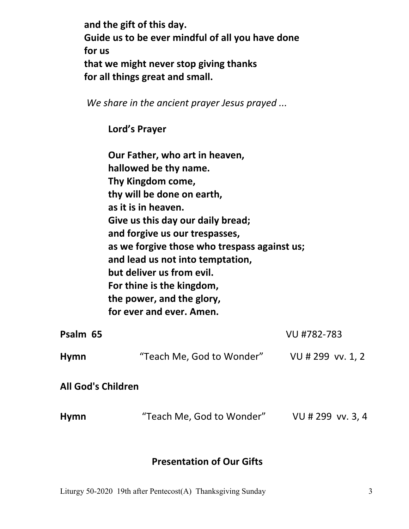**and the gift of this day. Guide us to be ever mindful of all you have done for us that we might never stop giving thanks for all things great and small.** 

*We share in the ancient prayer Jesus prayed ...*

 **Lord's Prayer** 

 **Our Father, who art in heaven, hallowed be thy name. Thy Kingdom come, thy will be done on earth, as it is in heaven. Give us this day our daily bread; and forgive us our trespasses, as we forgive those who trespass against us; and lead us not into temptation, but deliver us from evil. For thine is the kingdom, the power, and the glory, for ever and ever. Amen. Psalm 65** VU #782-783 **Hymn** "Teach Me, God to Wonder" VU # 299 vv. 1, 2

**All God's Children** 

**Hymn** "Teach Me, God to Wonder" VU # 299 vv. 3, 4

#### **Presentation of Our Gifts**

Liturgy 50-2020 19th after Pentecost(A) Thanksgiving Sunday 3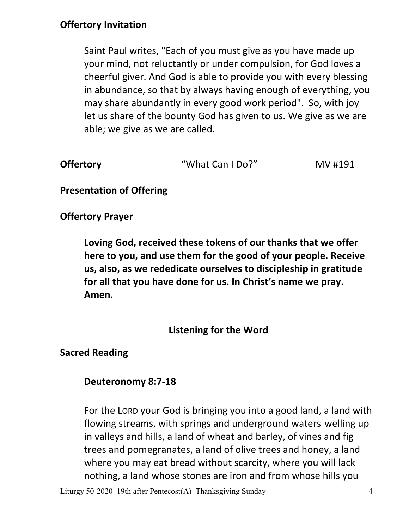## **Offertory Invitation**

Saint Paul writes, "Each of you must give as you have made up your mind, not reluctantly or under compulsion, for God loves a cheerful giver. And God is able to provide you with every blessing in abundance, so that by always having enough of everything, you may share abundantly in every good work period". So, with joy let us share of the bounty God has given to us. We give as we are able; we give as we are called.

| <b>Offertory</b> | "What Can I Do?" | MV #191 |
|------------------|------------------|---------|
|------------------|------------------|---------|

**Presentation of Offering** 

**Offertory Prayer** 

**Loving God, received these tokens of our thanks that we offer here to you, and use them for the good of your people. Receive us, also, as we rededicate ourselves to discipleship in gratitude for all that you have done for us. In Christ's name we pray. Amen.** 

**Listening for the Word**

**Sacred Reading** 

#### **Deuteronomy 8:7-18**

For the LORD your God is bringing you into a good land, a land with flowing streams, with springs and underground waters welling up in valleys and hills, a land of wheat and barley, of vines and fig trees and pomegranates, a land of olive trees and honey, a land where you may eat bread without scarcity, where you will lack nothing, a land whose stones are iron and from whose hills you

Liturgy 50-2020 19th after Pentecost(A) Thanksgiving Sunday 4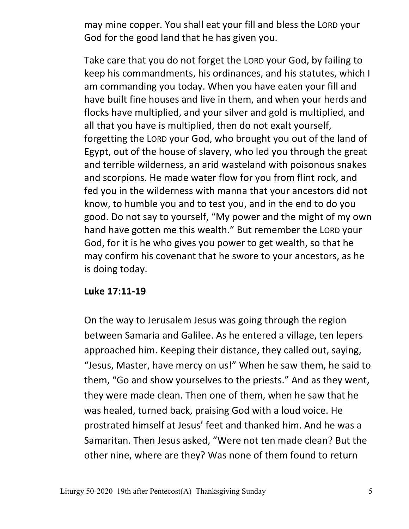may mine copper. You shall eat your fill and bless the LORD your God for the good land that he has given you.

Take care that you do not forget the LORD your God, by failing to keep his commandments, his ordinances, and his statutes, which I am commanding you today. When you have eaten your fill and have built fine houses and live in them, and when your herds and flocks have multiplied, and your silver and gold is multiplied, and all that you have is multiplied, then do not exalt yourself, forgetting the LORD your God, who brought you out of the land of Egypt, out of the house of slavery, who led you through the great and terrible wilderness, an arid wasteland with poisonous snakes and scorpions. He made water flow for you from flint rock, and fed you in the wilderness with manna that your ancestors did not know, to humble you and to test you, and in the end to do you good. Do not say to yourself, "My power and the might of my own hand have gotten me this wealth." But remember the LORD your God, for it is he who gives you power to get wealth, so that he may confirm his covenant that he swore to your ancestors, as he is doing today.

### **Luke 17:11-19**

On the way to Jerusalem Jesus was going through the region between Samaria and Galilee. As he entered a village, ten lepers approached him. Keeping their distance, they called out, saying, "Jesus, Master, have mercy on us!" When he saw them, he said to them, "Go and show yourselves to the priests." And as they went, they were made clean. Then one of them, when he saw that he was healed, turned back, praising God with a loud voice. He prostrated himself at Jesus' feet and thanked him. And he was a Samaritan. Then Jesus asked, "Were not ten made clean? But the other nine, where are they? Was none of them found to return